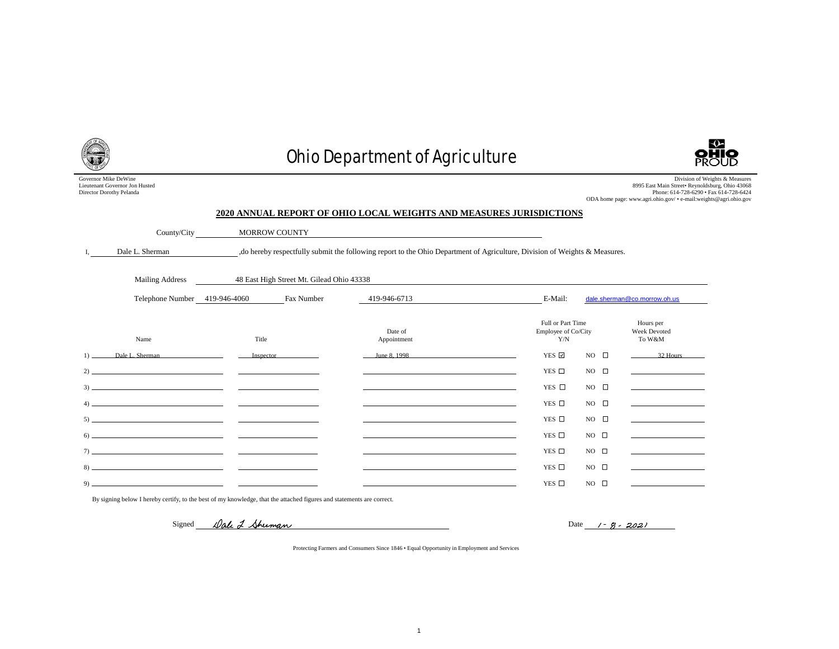Governor Mike DeWine Lieutenant Governor Jon Husted Director Dorothy Pelanda

# Ohio Department of Agriculture



Division of Weights & Measures 8995 East Main Street• Reynoldsburg, Ohio 43068 Phone: 614-728-6290 • Fax 614-728-6424 ODA home page: www.agri.ohio.gov/ • e-mail:weights@agri.ohio.gov

#### **2020 ANNUAL REPORT OF OHIO LOCAL WEIGHTS AND MEASURES JURISDICTIONS**

| County/City     | MORROW COUNTY                                                                                                               |
|-----------------|-----------------------------------------------------------------------------------------------------------------------------|
| Dale L. Sherman | , do hereby respectfully submit the following report to the Ohio Department of Agriculture, Division of Weights & Measures. |

| Mailing Address                                                                                                                                                                                                                                                                                                                               |           | 48 East High Street Mt. Gilead Ohio 43338                   |                        |                                                 |              |                                                   |
|-----------------------------------------------------------------------------------------------------------------------------------------------------------------------------------------------------------------------------------------------------------------------------------------------------------------------------------------------|-----------|-------------------------------------------------------------|------------------------|-------------------------------------------------|--------------|---------------------------------------------------|
| Telephone Number 419-946-4060                                                                                                                                                                                                                                                                                                                 |           | Fax Number                                                  | 419-946-6713           | E-Mail:                                         |              | dale.sherman@co.morrow.oh.us                      |
| Name                                                                                                                                                                                                                                                                                                                                          | Title     |                                                             | Date of<br>Appointment | Full or Part Time<br>Employee of Co/City<br>Y/N |              | Hours per<br><b>Week Devoted</b><br>To W&M        |
| 1)<br>Dale L. Sherman                                                                                                                                                                                                                                                                                                                         | Inspector |                                                             | June 8, 1998           | YES ☑                                           | NO $\square$ | 32 Hours                                          |
|                                                                                                                                                                                                                                                                                                                                               |           | the process of the control of the control of the control of |                        | YES $\Box$                                      | NO $\square$ | the control of the control of the control of      |
|                                                                                                                                                                                                                                                                                                                                               |           |                                                             |                        | YES □                                           | NO $\Box$    | <u> 1990 - Jan James James Barnett, ameri</u> kan |
| $\left(4\right)$ and $\left(1\right)$ and $\left(1\right)$ and $\left(1\right)$ and $\left(1\right)$ and $\left(1\right)$ and $\left(1\right)$ and $\left(1\right)$ and $\left(1\right)$ and $\left(1\right)$ and $\left(1\right)$ and $\left(1\right)$ and $\left(1\right)$ and $\left(1\right)$ and $\left(1\right)$ and $\left(1\right)$ a |           |                                                             |                        | YES $\Box$                                      | NO $\square$ |                                                   |
|                                                                                                                                                                                                                                                                                                                                               |           |                                                             |                        | YES $\Box$                                      | NO $\square$ |                                                   |
| $\begin{tabular}{c} 6) \end{tabular}$                                                                                                                                                                                                                                                                                                         |           |                                                             |                        | YES $\Box$                                      | NO $\square$ |                                                   |
| $\frac{1}{2}$                                                                                                                                                                                                                                                                                                                                 |           |                                                             |                        | YES $\Box$                                      | NO $\square$ |                                                   |
|                                                                                                                                                                                                                                                                                                                                               |           |                                                             |                        | YES $\Box$                                      | NO $\square$ |                                                   |
|                                                                                                                                                                                                                                                                                                                                               |           |                                                             |                        | YES $\Box$                                      | NO $\square$ |                                                   |

By signing below I hereby certify, to the best of my knowledge, that the attached figures and statements are correct.

Signed Dale 2 Sherman

Date  $1 - 9 - 2021$ 

Protecting Farmers and Consumers Since 1846 • Equal Opportunity in Employment and Services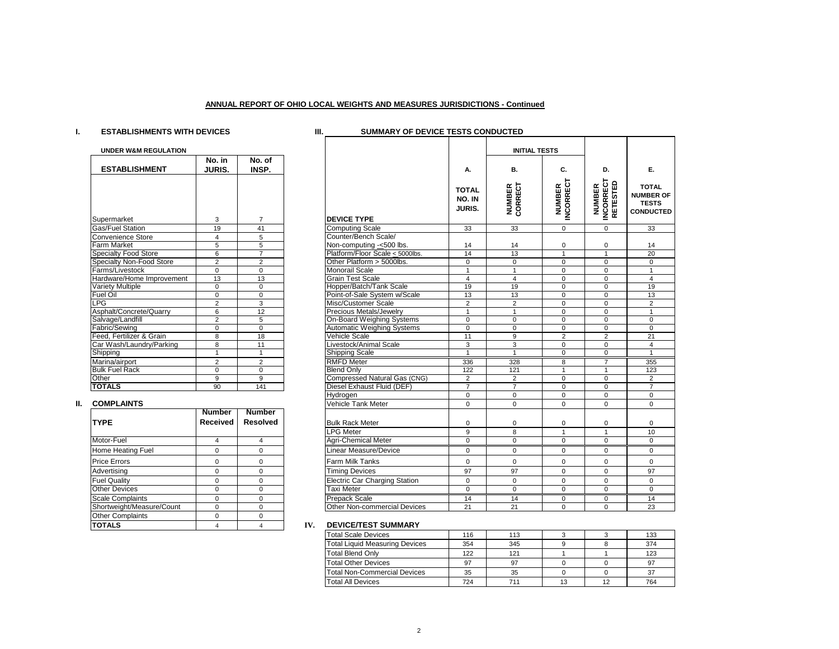#### **ANNUAL REPORT OF OHIO LOCAL WEIGHTS AND MEASURES JURISDICTIONS - Continued**

## **I. ESTABLISHMENTS WITH DEVICES III. SUMMARY OF DEVICE TESTS CONDUCTED**

| <b>UNDER W&amp;M REGULATION</b> |                  |                 |
|---------------------------------|------------------|-----------------|
| <b>ESTABLISHMENT</b>            | No. in<br>JURIS. | No. of<br>INSP. |
|                                 |                  |                 |
|                                 |                  |                 |
| Supermarket                     | 3                | $\overline{7}$  |
| Gas/Fuel Station                | 19               | 41              |
| <b>Convenience Store</b>        | 4                | 5               |
| <b>Farm Market</b>              | 5                | 5               |
| Specialty Food Store            | 6                | 7               |
| <b>Specialty Non-Food Store</b> | $\overline{2}$   | $\overline{2}$  |
| Farms/Livestock                 | $\Omega$         | $\Omega$        |
| Hardware/Home Improvement       | 13               | 13              |
| <b>Variety Multiple</b>         | $\Omega$         | $\Omega$        |
| <b>Fuel Oil</b>                 | 0                | 0               |
| <b>LPG</b>                      | $\overline{2}$   | 3               |
| Asphalt/Concrete/Quarry         | 6                | 12              |
| Salvage/Landfill                | $\overline{2}$   | 5               |
| Fabric/Sewing                   | 0                | $\Omega$        |
| Feed, Fertilizer & Grain        | 8                | 18              |
| Car Wash/Laundry/Parking        | 8                | 11              |
| Shipping                        | 1                | $\overline{1}$  |
| Marina/airport                  | $\overline{2}$   | $\overline{2}$  |
| <b>Bulk Fuel Rack</b>           | $\Omega$         | $\Omega$        |
| Other                           | 9                | 9               |
| <b>TOTALS</b>                   | 90               | 141             |

### **II. COMPLAINTS**

| <b>TYPE</b>               | Number<br><b>Received</b> | Number<br><b>Resolved</b> |
|---------------------------|---------------------------|---------------------------|
| Motor-Fuel                | 4                         |                           |
| <b>Home Heating Fuel</b>  | 0                         |                           |
| <b>Price Errors</b>       | 0                         |                           |
| Advertising               | 0                         |                           |
| <b>Fuel Quality</b>       | U                         |                           |
| <b>Other Devices</b>      | 0                         |                           |
| <b>Scale Complaints</b>   | ŋ                         |                           |
| Shortweight/Measure/Count | ŋ                         |                           |
| <b>Other Complaints</b>   | 0                         |                           |
| <b>TOTALS</b>             |                           |                           |

| <b>UNDER W&amp;M REGULATION</b> |                 |                 |                                      |                                         | <b>INITIAL TESTS</b>     |                             |                                               |                                                                      |
|---------------------------------|-----------------|-----------------|--------------------------------------|-----------------------------------------|--------------------------|-----------------------------|-----------------------------------------------|----------------------------------------------------------------------|
|                                 | No. in          | No. of          |                                      |                                         |                          |                             |                                               |                                                                      |
| <b>ESTABLISHMENT</b>            | <b>JURIS.</b>   | INSP.           |                                      | А.                                      | В.                       | C.                          | D.                                            | Е.                                                                   |
| Supermarket                     | 3               | $\overline{7}$  | <b>DEVICE TYPE</b>                   | <b>TOTAL</b><br>NO. IN<br><b>JURIS.</b> | <b>NUMBER</b><br>CORRECT | <b>NUMBER<br/>INCORRECT</b> | <b>INCORRECT</b><br>RETESTED<br><b>NUMBER</b> | <b>TOTAL</b><br><b>NUMBER OF</b><br><b>TESTS</b><br><b>CONDUCTED</b> |
| Gas/Fuel Station                | 19              | 41              | <b>Computing Scale</b>               | 33                                      | 33                       | $\Omega$                    | $\Omega$                                      | 33                                                                   |
| Convenience Store               | $\overline{4}$  | 5               | Counter/Bench Scale/                 |                                         |                          |                             |                                               |                                                                      |
| <b>Farm Market</b>              | 5               | 5               | Non-computing -< 500 lbs.            | 14                                      | 14                       | 0                           | 0                                             | 14                                                                   |
| <b>Specialty Food Store</b>     | 6               | $\overline{7}$  | Platform/Floor Scale < 5000lbs.      | 14                                      | 13                       | $\overline{1}$              |                                               | 20                                                                   |
| <b>Specialty Non-Food Store</b> | $\overline{2}$  | $\overline{2}$  | Other Platform > 5000lbs.            | $\mathbf 0$                             | 0                        | $\Omega$                    | $\mathbf 0$                                   | $\mathbf 0$                                                          |
| Farms/Livestock                 | $\Omega$        | $\Omega$        | <b>Monorail Scale</b>                | $\mathbf{1}$                            | $\mathbf{1}$             | $\Omega$                    | $\mathbf 0$                                   | $\overline{1}$                                                       |
| Hardware/Home Improvement       | 13              | 13              | <b>Grain Test Scale</b>              | $\overline{4}$                          | $\overline{4}$           | $\mathbf 0$                 | $\mathbf 0$                                   | $\overline{4}$                                                       |
| <b>Variety Multiple</b>         | $\Omega$        | $\Omega$        | Hopper/Batch/Tank Scale              | 19                                      | 19                       | $\Omega$                    | $\mathbf 0$                                   | 19                                                                   |
| Fuel Oil                        | 0               | $\mathbf 0$     | Point-of-Sale System w/Scale         | 13                                      | 13                       | 0                           | $\mathbf 0$                                   | 13                                                                   |
| LPG                             | $\overline{2}$  | 3               | Misc/Customer Scale                  | $\overline{2}$                          | $\overline{2}$           | $\Omega$                    | $\Omega$                                      | 2                                                                    |
| Asphalt/Concrete/Quarry         | 6               | 12              | Precious Metals/Jewelry              | $\mathbf{1}$                            | $\mathbf{1}$             | $\mathbf 0$                 | $\mathbf 0$                                   | $\overline{1}$                                                       |
| Salvage/Landfill                | $\overline{2}$  | 5               | On-Board Weighing Systems            | $\mathbf 0$                             | $\mathbf 0$              | $\mathbf 0$                 | $\mathbf 0$                                   | $\Omega$                                                             |
| Fabric/Sewing                   | $\Omega$        | $\Omega$        | <b>Automatic Weighing Systems</b>    | $\overline{0}$                          | $\Omega$                 | $\Omega$                    | $\overline{0}$                                | $\Omega$                                                             |
| Feed. Fertilizer & Grain        | 8               | 18              | <b>Vehicle Scale</b>                 | 11                                      | 9                        | 2                           | $\overline{2}$                                | 21                                                                   |
| Car Wash/Laundry/Parking        | 8               | 11              | Livestock/Animal Scale               | 3                                       | 3                        | $\mathbf 0$                 | $\mathbf 0$                                   | $\overline{4}$                                                       |
| Shipping                        | $\mathbf{1}$    | $\mathbf{1}$    | <b>Shipping Scale</b>                | $\overline{1}$                          | $\overline{1}$           | $\overline{0}$              | $\overline{0}$                                | $\overline{1}$                                                       |
| Marina/airport                  | $\overline{2}$  | $\overline{2}$  | <b>RMFD Meter</b>                    | 336                                     | 328                      | 8                           | $\overline{7}$                                | 355                                                                  |
| <b>Bulk Fuel Rack</b>           | $\Omega$        | $\Omega$        | <b>Blend Only</b>                    | 122                                     | 121                      | $\mathbf{1}$                | $\mathbf{1}$                                  | 123                                                                  |
| Other                           | 9               | 9               | Compressed Natural Gas (CNG)         | $\overline{2}$                          | 2                        | $\mathbf 0$                 | $\mathbf 0$                                   | 2                                                                    |
| <b>TOTALS</b>                   | 90              | 141             | Diesel Exhaust Fluid (DEF)           | $\overline{7}$                          | $\overline{7}$           | $\Omega$                    | $\mathbf 0$                                   | $\overline{7}$                                                       |
|                                 |                 |                 | Hydrogen                             | $\mathsf 0$                             | 0                        | $\mathbf 0$                 | 0                                             | $\mathbf 0$                                                          |
| <b>COMPLAINTS</b>               |                 |                 | <b>Vehicle Tank Meter</b>            | $\Omega$                                | $\Omega$                 | $\Omega$                    | $\Omega$                                      | $\Omega$                                                             |
|                                 | <b>Number</b>   | <b>Number</b>   |                                      |                                         |                          |                             |                                               |                                                                      |
| <b>TYPE</b>                     | <b>Received</b> | <b>Resolved</b> | <b>Bulk Rack Meter</b>               | 0                                       | 0                        | 0                           | 0                                             | $\Omega$                                                             |
|                                 |                 |                 | <b>LPG Meter</b>                     | 9                                       | 8                        | $\mathbf{1}$                | $\mathbf{1}$                                  | 10                                                                   |
| Motor-Fuel                      | $\overline{4}$  | $\overline{4}$  | <b>Agri-Chemical Meter</b>           | $\mathbf 0$                             | $\mathbf 0$              | $\mathbf 0$                 | $\mathbf 0$                                   | $\mathbf 0$                                                          |
| Home Heating Fuel               | $\mathbf 0$     | $\Omega$        | <b>Linear Measure/Device</b>         | $\mathbf 0$                             | $\mathbf 0$              | 0                           | $\mathbf 0$                                   | $\mathbf 0$                                                          |
| Price Errors                    | 0               | $\Omega$        | <b>Farm Milk Tanks</b>               | $\mathbf 0$                             | $\mathbf 0$              | $\mathbf 0$                 | $\mathbf 0$                                   | $\Omega$                                                             |
| Advertisina                     | $\mathbf 0$     | $\mathbf 0$     | <b>Timing Devices</b>                | 97                                      | 97                       | $\mathbf 0$                 | $\mathbf 0$                                   | 97                                                                   |
| <b>Fuel Quality</b>             | $\Omega$        | $\Omega$        | <b>Electric Car Charging Station</b> | $\mathbf 0$                             | $\mathbf 0$              | $\mathbf 0$                 | $\Omega$                                      | $\mathbf 0$                                                          |
| <b>Other Devices</b>            | $\Omega$        | $\Omega$        | <b>Taxi Meter</b>                    | $\mathbf 0$                             | $\mathbf 0$              | $\mathbf 0$                 | $\mathbf 0$                                   | $\mathbf 0$                                                          |
| <b>Scale Complaints</b>         | $\mathbf 0$     | $\mathbf 0$     | <b>Prepack Scale</b>                 | 14                                      | 14                       | 0                           | $\mathbf{0}$                                  | 14                                                                   |
| Shortweight/Measure/Count       | $\Omega$        | $\Omega$        | <b>Other Non-commercial Devices</b>  | 21                                      | 21                       | $\Omega$                    | $\Omega$                                      | 23                                                                   |

#### **TV. DEVICE/TEST SUMMARY**

| <b>Total Scale Devices</b>            | 116 | 113 |    |    | 133 |
|---------------------------------------|-----|-----|----|----|-----|
| <b>Total Liquid Measuring Devices</b> | 354 | 345 |    |    | 374 |
| <b>Total Blend Only</b>               | 122 | 121 |    |    | 123 |
| <b>Total Other Devices</b>            | 97  | 97  |    |    | 97  |
| <b>Total Non-Commercial Devices</b>   | 35  | 35  |    |    | 37  |
| <b>Total All Devices</b>              | 724 | 711 | 13 | 12 | 764 |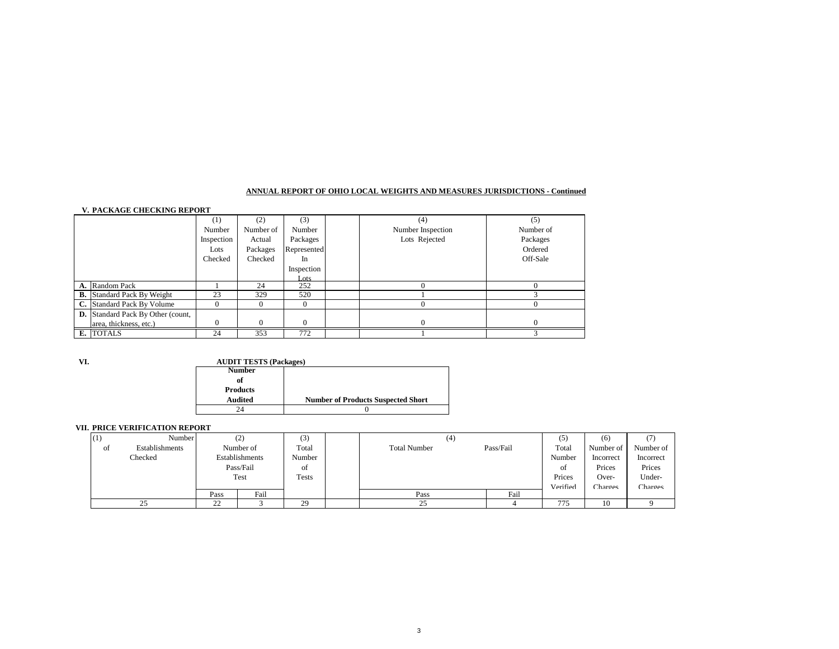#### **ANNUAL REPORT OF OHIO LOCAL WEIGHTS AND MEASURES JURISDICTIONS - Continued**

#### **V. PACKAGE CHECKING REPORT**

|                                          | $\left(1\right)$ | (2)       | (3)         | (4)               | (5)       |
|------------------------------------------|------------------|-----------|-------------|-------------------|-----------|
|                                          | Number           | Number of | Number      | Number Inspection | Number of |
|                                          | Inspection       | Actual    | Packages    | Lots Rejected     | Packages  |
|                                          | Lots             | Packages  | Represented |                   | Ordered   |
|                                          | Checked          | Checked   | In          |                   | Off-Sale  |
|                                          |                  |           | Inspection  |                   |           |
|                                          |                  |           | Lots        |                   |           |
| A. Random Pack                           |                  | 24        | 252         |                   |           |
| <b>B.</b> Standard Pack By Weight        | 23               | 329       | 520         |                   |           |
| C. Standard Pack By Volume               |                  |           |             |                   |           |
| <b>D.</b> Standard Pack By Other (count, |                  |           |             |                   |           |
| area, thickness, etc.)                   |                  |           |             | $\Omega$          |           |
| E. TOTALS                                | 24               | 353       | 772         |                   |           |

**VI.**

#### **AUDIT TESTS (Packages)**

| <b>Number</b>   |                                           |
|-----------------|-------------------------------------------|
| of              |                                           |
| <b>Products</b> |                                           |
| <b>Audited</b>  | <b>Number of Products Suspected Short</b> |
|                 |                                           |

#### **VII. PRICE VERIFICATION REPORT**

| (1) | Number         |      | (2)            | (3)    | (4)                 |           | (5)      | (6)            | (7)       |
|-----|----------------|------|----------------|--------|---------------------|-----------|----------|----------------|-----------|
| οt  | Establishments |      | Number of      | Total  | <b>Total Number</b> | Pass/Fail | Total    | Number of      | Number of |
|     | Checked        |      | Establishments | Number |                     |           | Number   | Incorrect      | Incorrect |
|     |                |      | Pass/Fail      | οf     |                     |           | οt       | Prices         | Prices    |
|     |                |      | Test           | Tests  |                     |           | Prices   | Over-          | Under-    |
|     |                |      |                |        |                     |           | Verified | <b>Charges</b> | Charges   |
|     |                | Pass | Fail           |        | Pass                | Fail      |          |                |           |
|     | ر ے            | 22   |                | 29     | $\sim$<br>د ک       |           | 775      | 10             |           |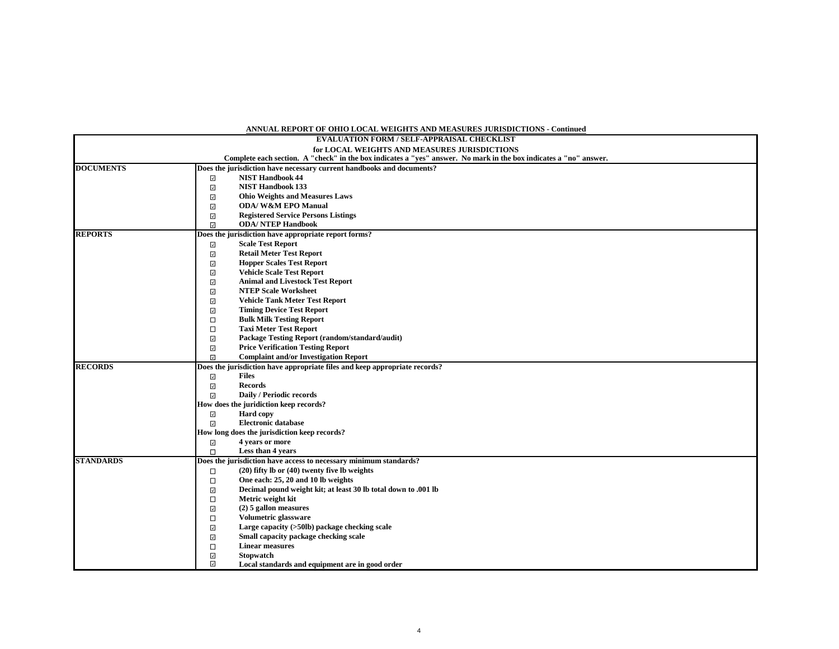#### **ANNUAL REPORT OF OHIO LOCAL WEIGHTS AND MEASURES JURISDICTIONS - Continued**

|                  | EVALUATION FORM / SELF-APPRAISAL CHECKLIST                                                                        |
|------------------|-------------------------------------------------------------------------------------------------------------------|
|                  | for LOCAL WEIGHTS AND MEASURES JURISDICTIONS                                                                      |
|                  | Complete each section. A "check" in the box indicates a "yes" answer. No mark in the box indicates a "no" answer. |
| <b>DOCUMENTS</b> | Does the jurisdiction have necessary current handbooks and documents?                                             |
|                  | <b>NIST Handbook 44</b><br>$\overline{\phantom{a}}$                                                               |
|                  | <b>NIST Handbook 133</b><br>$\overline{\phantom{a}}$                                                              |
|                  | $\overline{\mathcal{S}}$<br><b>Ohio Weights and Measures Laws</b>                                                 |
|                  | <b>ODA/W&amp;M EPO Manual</b><br>$\overline{\checkmark}$                                                          |
|                  | $\overline{\phantom{a}}$<br><b>Registered Service Persons Listings</b>                                            |
|                  | $\overline{\mathcal{S}}$<br><b>ODA/ NTEP Handbook</b>                                                             |
| <b>REPORTS</b>   | Does the jurisdiction have appropriate report forms?                                                              |
|                  | <b>Scale Test Report</b><br>$\overline{\phantom{a}}$                                                              |
|                  | <b>Retail Meter Test Report</b><br>$\overline{\mathcal{S}}$                                                       |
|                  | $\overline{\mathcal{S}}$<br><b>Hopper Scales Test Report</b>                                                      |
|                  | $\overline{\mathcal{S}}$<br><b>Vehicle Scale Test Report</b>                                                      |
|                  | $\overline{\mathcal{S}}$<br><b>Animal and Livestock Test Report</b>                                               |
|                  | <b>NTEP Scale Worksheet</b><br>$\overline{\mathcal{S}}$                                                           |
|                  | <b>Vehicle Tank Meter Test Report</b><br>$\overline{\phantom{a}}$                                                 |
|                  | $\overline{\mathcal{S}}$<br><b>Timing Device Test Report</b>                                                      |
|                  | $\Box$<br><b>Bulk Milk Testing Report</b>                                                                         |
|                  | <b>Taxi Meter Test Report</b><br>$\Box$                                                                           |
|                  | Package Testing Report (random/standard/audit)<br>$\checkmark$                                                    |
|                  | $\overline{\checkmark}$<br><b>Price Verification Testing Report</b>                                               |
|                  | $\overline{\mathcal{S}}$<br><b>Complaint and/or Investigation Report</b>                                          |
| <b>RECORDS</b>   | Does the jurisdiction have appropriate files and keep appropriate records?                                        |
|                  | <b>Files</b><br>$\overline{\phantom{a}}$                                                                          |
|                  | $\overline{\phantom{a}}$<br><b>Records</b>                                                                        |
|                  | $\overline{\mathcal{S}}$<br>Daily / Periodic records                                                              |
|                  | How does the juridiction keep records?                                                                            |
|                  | <b>Hard</b> copy<br>$\overline{\checkmark}$                                                                       |
|                  | <b>Electronic database</b><br>$\overline{\mathcal{S}}$                                                            |
|                  | How long does the jurisdiction keep records?                                                                      |
|                  | $\overline{\phantom{a}}$<br>4 years or more                                                                       |
|                  | $\Box$<br>Less than 4 years                                                                                       |
| <b>STANDARDS</b> | Does the jurisdiction have access to necessary minimum standards?                                                 |
|                  | $(20)$ fifty lb or $(40)$ twenty five lb weights<br>□                                                             |
|                  | $\Box$<br>One each: 25, 20 and 10 lb weights                                                                      |
|                  | Decimal pound weight kit; at least 30 lb total down to .001 lb<br>$\overline{\mathcal{S}}$                        |
|                  | Metric weight kit<br>$\Box$                                                                                       |
|                  | $\overline{\mathcal{S}}$<br>$(2)$ 5 gallon measures                                                               |
|                  | $\Box$<br>Volumetric glassware                                                                                    |
|                  | Large capacity (>50lb) package checking scale<br>$\overline{\mathcal{S}}$                                         |
|                  | Small capacity package checking scale<br>$\overline{\checkmark}$                                                  |
|                  | <b>Linear measures</b><br>$\Box$                                                                                  |
|                  | $\overline{\checkmark}$<br><b>Stopwatch</b>                                                                       |
|                  | $\overline{\mathcal{S}}$<br>Local standards and equipment are in good order                                       |